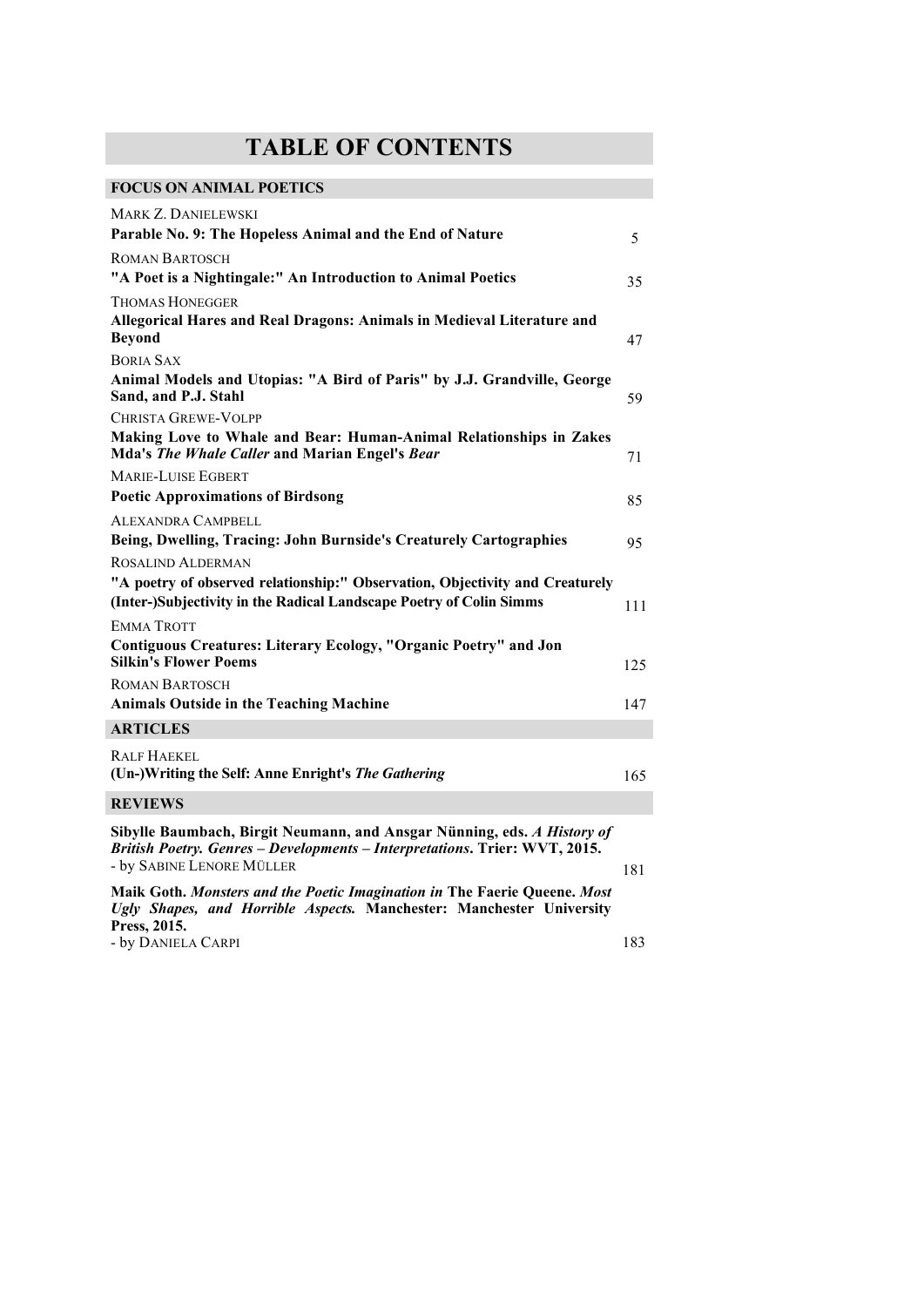## **TABLE OF CONTENTS**

## **FOCUS ON ANIMAL POETICS**

| <b>MARK Z. DANIELEWSKI</b>                                                                                                                                                         |     |
|------------------------------------------------------------------------------------------------------------------------------------------------------------------------------------|-----|
| Parable No. 9: The Hopeless Animal and the End of Nature                                                                                                                           | 5   |
| <b>ROMAN BARTOSCH</b>                                                                                                                                                              |     |
| "A Poet is a Nightingale:" An Introduction to Animal Poetics                                                                                                                       | 35  |
| <b>THOMAS HONEGGER</b>                                                                                                                                                             |     |
| Allegorical Hares and Real Dragons: Animals in Medieval Literature and<br><b>Beyond</b>                                                                                            | 47  |
| <b>BORIA SAX</b>                                                                                                                                                                   |     |
| Animal Models and Utopias: "A Bird of Paris" by J.J. Grandville, George<br>Sand, and P.J. Stahl                                                                                    | 59  |
| <b>CHRISTA GREWE-VOLPP</b>                                                                                                                                                         |     |
| Making Love to Whale and Bear: Human-Animal Relationships in Zakes<br>Mda's The Whale Caller and Marian Engel's Bear                                                               | 71  |
| <b>MARIE-LUISE EGBERT</b>                                                                                                                                                          |     |
| <b>Poetic Approximations of Birdsong</b>                                                                                                                                           | 85  |
| <b>ALEXANDRA CAMPBELL</b>                                                                                                                                                          |     |
| Being, Dwelling, Tracing: John Burnside's Creaturely Cartographies                                                                                                                 | 95  |
| ROSALIND ALDERMAN                                                                                                                                                                  |     |
| "A poetry of observed relationship:" Observation, Objectivity and Creaturely                                                                                                       |     |
| (Inter-)Subjectivity in the Radical Landscape Poetry of Colin Simms                                                                                                                | 111 |
| <b>EMMA TROTT</b>                                                                                                                                                                  |     |
| Contiguous Creatures: Literary Ecology, "Organic Poetry" and Jon<br><b>Silkin's Flower Poems</b>                                                                                   | 125 |
| <b>ROMAN BARTOSCH</b>                                                                                                                                                              |     |
| <b>Animals Outside in the Teaching Machine</b>                                                                                                                                     | 147 |
| <b>ARTICLES</b>                                                                                                                                                                    |     |
| <b>RALF HAEKEL</b><br>(Un-)Writing the Self: Anne Enright's The Gathering                                                                                                          | 165 |
|                                                                                                                                                                                    |     |
| <b>REVIEWS</b>                                                                                                                                                                     |     |
| Sibylle Baumbach, Birgit Neumann, and Ansgar Nünning, eds. A History of<br>British Poetry. Genres - Developments - Interpretations. Trier: WVT, 2015.<br>- by SABINE LENORE MÜLLER | 181 |
| Maik Goth. Monsters and the Poetic Imagination in The Faerie Queene. Most<br>Ugly Shapes, and Horrible Aspects. Manchester: Manchester University                                  |     |

**Press, 2015.**  - by Daniela Carpi